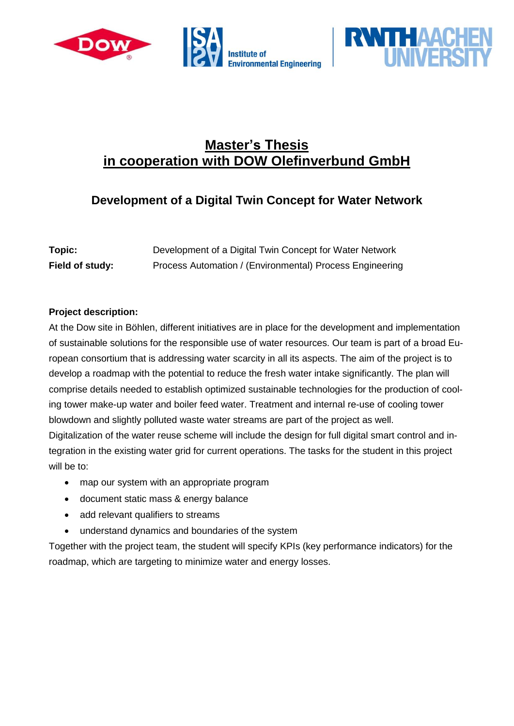



## **Development of a Digital Twin Concept for Water Network**

| Topic:          | Development of a Digital Twin Concept for Water Network  |
|-----------------|----------------------------------------------------------|
| Field of study: | Process Automation / (Environmental) Process Engineering |

## **Project description:**

At the Dow site in Böhlen, different initiatives are in place for the development and implementation of sustainable solutions for the responsible use of water resources. Our team is part of a broad European consortium that is addressing water scarcity in all its aspects. The aim of the project is to develop a roadmap with the potential to reduce the fresh water intake significantly. The plan will comprise details needed to establish optimized sustainable technologies for the production of cooling tower make-up water and boiler feed water. Treatment and internal re-use of cooling tower blowdown and slightly polluted waste water streams are part of the project as well.

Digitalization of the water reuse scheme will include the design for full digital smart control and integration in the existing water grid for current operations. The tasks for the student in this project will be to:

- map our system with an appropriate program
- document static mass & energy balance
- add relevant qualifiers to streams
- understand dynamics and boundaries of the system

Together with the project team, the student will specify KPIs (key performance indicators) for the roadmap, which are targeting to minimize water and energy losses.